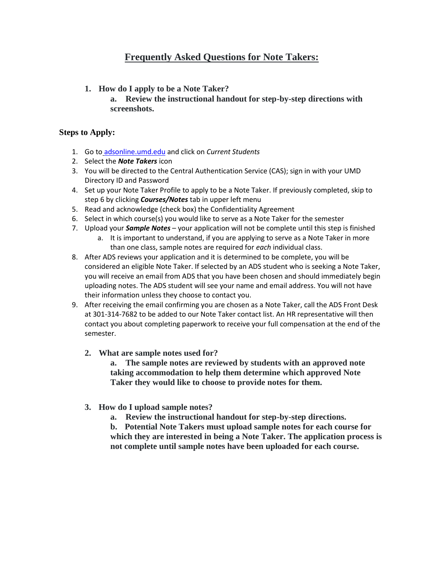## **Frequently Asked Questions for Note Takers:**

- **1. How do I apply to be a Note Taker?**
	- **a. Review the instructional handout for step-by-step directions with screenshots.**

## **Steps to Apply:**

- 1. Go to [adsonline.umd.edu](http://adsonline.umd.edu/) and click on *Current Students*
- 2. Select the *Note Takers* icon
- 3. You will be directed to the Central Authentication Service (CAS); sign in with your UMD Directory ID and Password
- 4. Set up your Note Taker Profile to apply to be a Note Taker. If previously completed, skip to step 6 by clicking *Courses/Notes* tab in upper left menu
- 5. Read and acknowledge (check box) the Confidentiality Agreement
- 6. Select in which course(s) you would like to serve as a Note Taker for the semester
- 7. Upload your *Sample Notes* your application will not be complete until this step is finished
	- a. It is important to understand, if you are applying to serve as a Note Taker in more than one class, sample notes are required for *each* individual class.
- 8. After ADS reviews your application and it is determined to be complete, you will be considered an eligible Note Taker. If selected by an ADS student who is seeking a Note Taker, you will receive an email from ADS that you have been chosen and should immediately begin uploading notes. The ADS student will see your name and email address. You will not have their information unless they choose to contact you.
- 9. After receiving the email confirming you are chosen as a Note Taker, call the ADS Front Desk at 301-314-7682 to be added to our Note Taker contact list. An HR representative will then contact you about completing paperwork to receive your full compensation at the end of the semester.
	- **2. What are sample notes used for?**

**a. The sample notes are reviewed by students with an approved note taking accommodation to help them determine which approved Note Taker they would like to choose to provide notes for them.**

- **3. How do I upload sample notes?**
	- **a. Review the instructional handout for step-by-step directions.**

**b. Potential Note Takers must upload sample notes for each course for which they are interested in being a Note Taker. The application process is not complete until sample notes have been uploaded for each course.**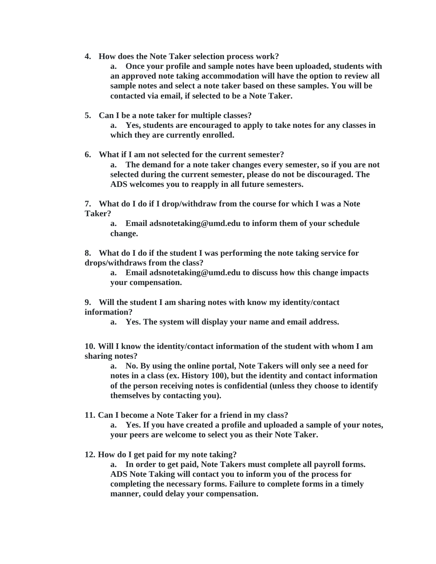- **4. How does the Note Taker selection process work?**
	- **a. Once your profile and sample notes have been uploaded, students with an approved note taking accommodation will have the option to review all sample notes and select a note taker based on these samples. You will be contacted via email, if selected to be a Note Taker.**
- **5. Can I be a note taker for multiple classes?**

**a. Yes, students are encouraged to apply to take notes for any classes in which they are currently enrolled.**

**6. What if I am not selected for the current semester? a. The demand for a note taker changes every semester, so if you are not selected during the current semester, please do not be discouraged. The ADS welcomes you to reapply in all future semesters.**

**7. What do I do if I drop/withdraw from the course for which I was a Note Taker?**

**a. Email adsnotetaking@umd.edu to inform them of your schedule change.**

**8. What do I do if the student I was performing the note taking service for drops/withdraws from the class?**

**a. Email adsnotetaking@umd.edu to discuss how this change impacts your compensation.**

**9. Will the student I am sharing notes with know my identity/contact information?**

**a. Yes. The system will display your name and email address.**

**10. Will I know the identity/contact information of the student with whom I am sharing notes?**

**a. No. By using the online portal, Note Takers will only see a need for notes in a class (ex. History 100), but the identity and contact information of the person receiving notes is confidential (unless they choose to identify themselves by contacting you).**

**11. Can I become a Note Taker for a friend in my class?**

**a. Yes. If you have created a profile and uploaded a sample of your notes, your peers are welcome to select you as their Note Taker.**

**12. How do I get paid for my note taking?**

**a. In order to get paid, Note Takers must complete all payroll forms. ADS Note Taking will contact you to inform you of the process for completing the necessary forms. Failure to complete forms in a timely manner, could delay your compensation.**